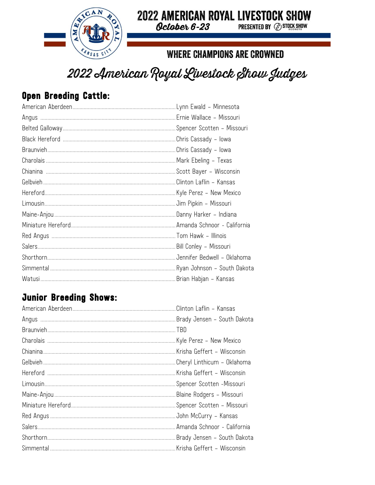

#### **2022 AMERICAN ROYAL LIVESTOCK SHOW** October 6-23

**PRESENTED BY @ STOCK SHOW** 

### **WHERE CHAMPIONS ARE CROWNED**

# 2022 American Royal Livestock Show Judges

### Open Breeding Cattle:

### **Junior Breeding Shows:**